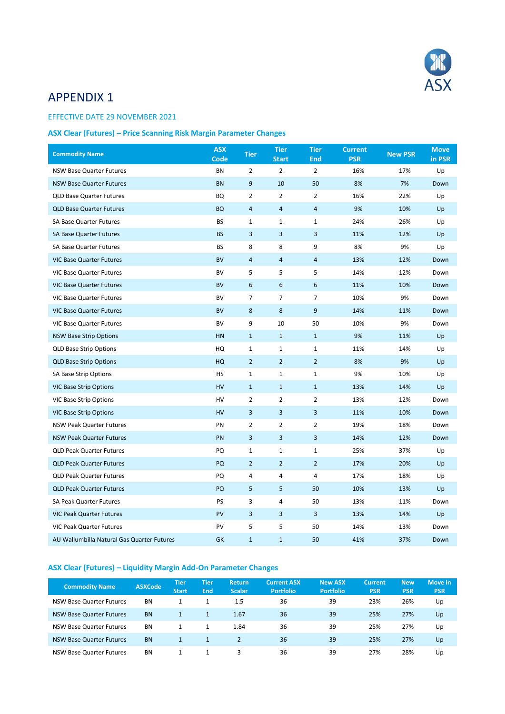

## APPENDIX 1

## EFFECTIVE DATE 29 NOVEMBER 2021

## **ASX Clear (Futures) – Price Scanning Risk Margin Parameter Changes**

| <b>Commodity Name</b>                      | <b>ASX</b><br><b>Code</b> | <b>Tier</b>    | <b>Tier</b><br><b>Start</b> | <b>Tier</b><br><b>End</b> | <b>Current</b><br><b>PSR</b> | <b>New PSR</b> | <b>Move</b><br>in PSR |
|--------------------------------------------|---------------------------|----------------|-----------------------------|---------------------------|------------------------------|----------------|-----------------------|
| <b>NSW Base Quarter Futures</b>            | <b>BN</b>                 | $\overline{2}$ | $\overline{2}$              | $\overline{2}$            | 16%                          | 17%            | Up                    |
| <b>NSW Base Quarter Futures</b>            | <b>BN</b>                 | 9              | 10                          | 50                        | 8%                           | 7%             | Down                  |
| <b>QLD Base Quarter Futures</b>            | BQ                        | 2              | $\overline{2}$              | $\overline{2}$            | 16%                          | 22%            | Up                    |
| <b>QLD Base Quarter Futures</b>            | <b>BQ</b>                 | 4              | $\overline{4}$              | $\overline{4}$            | 9%                           | 10%            | Up                    |
| <b>SA Base Quarter Futures</b>             | <b>BS</b>                 | 1              | 1                           | $\mathbf{1}$              | 24%                          | 26%            | Up                    |
| <b>SA Base Quarter Futures</b>             | <b>BS</b>                 | 3              | 3                           | 3                         | 11%                          | 12%            | Up                    |
| <b>SA Base Quarter Futures</b>             | <b>BS</b>                 | 8              | 8                           | 9                         | 8%                           | 9%             | Up                    |
| <b>VIC Base Quarter Futures</b>            | <b>BV</b>                 | $\overline{4}$ | $\overline{4}$              | $\overline{4}$            | 13%                          | 12%            | Down                  |
| <b>VIC Base Quarter Futures</b>            | <b>BV</b>                 | 5              | 5                           | 5                         | 14%                          | 12%            | Down                  |
| <b>VIC Base Quarter Futures</b>            | <b>BV</b>                 | 6              | 6                           | 6                         | 11%                          | 10%            | Down                  |
| <b>VIC Base Quarter Futures</b>            | <b>BV</b>                 | 7              | 7                           | $\overline{7}$            | 10%                          | 9%             | Down                  |
| <b>VIC Base Quarter Futures</b>            | <b>BV</b>                 | 8              | 8                           | 9                         | 14%                          | 11%            | Down                  |
| <b>VIC Base Quarter Futures</b>            | <b>BV</b>                 | 9              | 10                          | 50                        | 10%                          | 9%             | Down                  |
| <b>NSW Base Strip Options</b>              | HN                        | $\mathbf{1}$   | $\mathbf{1}$                | $\mathbf{1}$              | 9%                           | 11%            | Up                    |
| <b>QLD Base Strip Options</b>              | HQ                        | 1              | $\mathbf{1}$                | $\mathbf{1}$              | 11%                          | 14%            | Up                    |
| <b>QLD Base Strip Options</b>              | HQ                        | $\overline{2}$ | $\overline{2}$              | $\overline{2}$            | 8%                           | 9%             | Up                    |
| <b>SA Base Strip Options</b>               | <b>HS</b>                 | $\mathbf 1$    | $\mathbf{1}$                | $\mathbf 1$               | 9%                           | 10%            | Up                    |
| <b>VIC Base Strip Options</b>              | HV                        | $\mathbf{1}$   | $\mathbf{1}$                | $\mathbf{1}$              | 13%                          | 14%            | Up                    |
| <b>VIC Base Strip Options</b>              | HV                        | 2              | $\overline{2}$              | $\overline{2}$            | 13%                          | 12%            | Down                  |
| <b>VIC Base Strip Options</b>              | HV                        | 3              | 3                           | 3                         | 11%                          | 10%            | Down                  |
| <b>NSW Peak Quarter Futures</b>            | PN                        | $\overline{2}$ | $\overline{2}$              | $\overline{2}$            | 19%                          | 18%            | Down                  |
| <b>NSW Peak Quarter Futures</b>            | PN                        | 3              | 3                           | 3                         | 14%                          | 12%            | Down                  |
| <b>QLD Peak Quarter Futures</b>            | PQ                        | 1              | 1                           | $\mathbf{1}$              | 25%                          | 37%            | Up                    |
| <b>QLD Peak Quarter Futures</b>            | PQ                        | $\overline{2}$ | $\overline{2}$              | $\overline{2}$            | 17%                          | 20%            | Up                    |
| <b>QLD Peak Quarter Futures</b>            | PQ                        | 4              | 4                           | 4                         | 17%                          | 18%            | Up                    |
| <b>QLD Peak Quarter Futures</b>            | PQ                        | 5              | 5                           | 50                        | 10%                          | 13%            | Up                    |
| <b>SA Peak Quarter Futures</b>             | <b>PS</b>                 | 3              | 4                           | 50                        | 13%                          | 11%            | Down                  |
| <b>VIC Peak Quarter Futures</b>            | PV                        | 3              | 3                           | 3                         | 13%                          | 14%            | Up                    |
| <b>VIC Peak Quarter Futures</b>            | PV                        | 5              | 5                           | 50                        | 14%                          | 13%            | Down                  |
| AU Wallumbilla Natural Gas Quarter Futures | <b>GK</b>                 | $\mathbf{1}$   | $\mathbf{1}$                | 50                        | 41%                          | 37%            | Down                  |

## **ASX Clear (Futures) – Liquidity Margin Add-On Parameter Changes**

| <b>Commodity Name</b>           | <b>ASXCode</b> | Tier<br><b>Start</b> | /Tier<br>'End. | <b>Return</b><br><b>Scalar</b> | <b>Current ASX</b><br><b>Portfolio</b> | New ASX<br><b>Portfolio</b> | <b>Current</b><br><b>PSR</b> | <b>New</b><br><b>PSR</b> | Move in<br><b>PSR</b> |
|---------------------------------|----------------|----------------------|----------------|--------------------------------|----------------------------------------|-----------------------------|------------------------------|--------------------------|-----------------------|
| NSW Base Quarter Futures        | <b>BN</b>      |                      |                | 1.5                            | 36                                     | 39                          | 23%                          | 26%                      | Up                    |
| <b>NSW Base Quarter Futures</b> | <b>BN</b>      |                      |                | 1.67                           | 36                                     | 39                          | 25%                          | 27%                      | Up                    |
| NSW Base Quarter Futures        | <b>BN</b>      |                      |                | 1.84                           | 36                                     | 39                          | 25%                          | 27%                      | Up                    |
| <b>NSW Base Quarter Futures</b> | <b>BN</b>      |                      |                |                                | 36                                     | 39                          | 25%                          | 27%                      | Up                    |
| NSW Base Quarter Futures        | <b>BN</b>      |                      |                | 3                              | 36                                     | 39                          | 27%                          | 28%                      | Up                    |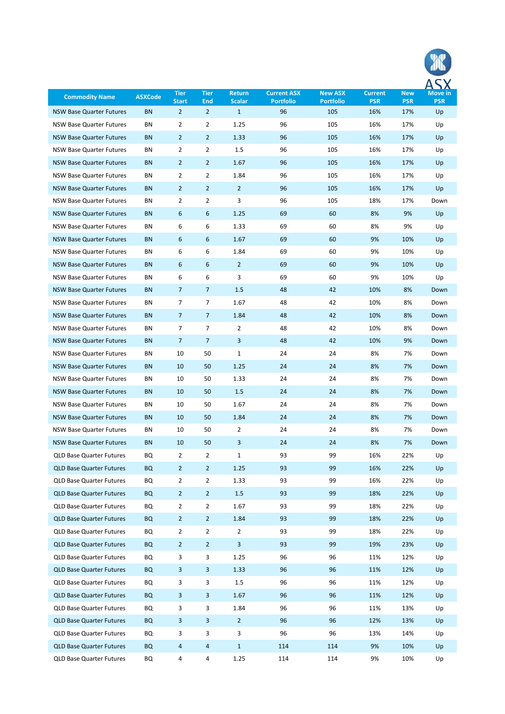| <b>Commodity Name</b>           | <b>ASXCode</b> | <b>Tier</b><br><b>Start</b> | <b>Tier</b><br><b>End</b> | <b>Return</b><br><b>Scalar</b> | <b>Current ASX</b><br><b>Portfolio</b> | <b>New ASX</b><br><b>Portfolio</b> | <b>Current</b><br><b>PSR</b> | <b>New</b><br><b>PSR</b> | Move in<br><b>PSR</b> |
|---------------------------------|----------------|-----------------------------|---------------------------|--------------------------------|----------------------------------------|------------------------------------|------------------------------|--------------------------|-----------------------|
| <b>NSW Base Quarter Futures</b> | <b>BN</b>      | $\overline{2}$              | $\overline{2}$            | $\mathbf{1}$                   | 96                                     | 105                                | 16%                          | 17%                      | Up                    |
| NSW Base Quarter Futures        | ΒN             | 2                           | 2                         | 1.25                           | 96                                     | 105                                | 16%                          | 17%                      | Up                    |
| <b>NSW Base Quarter Futures</b> | <b>BN</b>      | $\overline{2}$              | $\overline{2}$            | 1.33                           | 96                                     | 105                                | 16%                          | 17%                      | Up                    |
| NSW Base Quarter Futures        | ΒN             | 2                           | 2                         | 1.5                            | 96                                     | 105                                | 16%                          | 17%                      | Up                    |
| <b>NSW Base Quarter Futures</b> | <b>BN</b>      | $\overline{2}$              | $\overline{2}$            | 1.67                           | 96                                     | 105                                | 16%                          | 17%                      | Up                    |
| NSW Base Quarter Futures        | ΒN             | 2                           | 2                         | 1.84                           | 96                                     | 105                                | 16%                          | 17%                      | Up                    |
| <b>NSW Base Quarter Futures</b> | <b>BN</b>      | $\overline{2}$              | $\overline{2}$            | $\overline{2}$                 | 96                                     | 105                                | 16%                          | 17%                      | Up                    |
| NSW Base Quarter Futures        | ΒN             | 2                           | 2                         | 3                              | 96                                     | 105                                | 18%                          | 17%                      | Down                  |
| <b>NSW Base Quarter Futures</b> | <b>BN</b>      | 6                           | 6                         | 1.25                           | 69                                     | 60                                 | 8%                           | 9%                       | Up                    |
| NSW Base Quarter Futures        | ΒN             | 6                           | 6                         | 1.33                           | 69                                     | 60                                 | 8%                           | 9%                       | Up                    |
| <b>NSW Base Quarter Futures</b> | <b>BN</b>      | 6                           | 6                         | 1.67                           | 69                                     | 60                                 | 9%                           | 10%                      | Up                    |
| NSW Base Quarter Futures        | BN             | 6                           | 6                         | 1.84                           | 69                                     | 60                                 | 9%                           | 10%                      | Up                    |
| <b>NSW Base Quarter Futures</b> | <b>BN</b>      | 6                           | 6                         | $\overline{2}$                 | 69                                     | 60                                 | 9%                           | 10%                      | Up                    |
| NSW Base Quarter Futures        | ΒN             | 6                           | 6                         | 3                              | 69                                     | 60                                 | 9%                           | 10%                      | Up                    |
| <b>NSW Base Quarter Futures</b> | <b>BN</b>      | $\overline{7}$              | $\overline{7}$            | 1.5                            | 48                                     | 42                                 | 10%                          | 8%                       | Down                  |
| NSW Base Quarter Futures        | ΒN             | 7                           | 7                         | 1.67                           | 48                                     | 42                                 | 10%                          | 8%                       | Down                  |
| <b>NSW Base Quarter Futures</b> | <b>BN</b>      | $\overline{7}$              | $\overline{7}$            | 1.84                           | 48                                     | 42                                 | 10%                          | 8%                       | Down                  |
| NSW Base Quarter Futures        | ΒN             | $\overline{7}$              | 7                         | 2                              | 48                                     | 42                                 | 10%                          | 8%                       | Down                  |
| <b>NSW Base Quarter Futures</b> | <b>BN</b>      | $\overline{7}$              | $\overline{7}$            | 3                              | 48                                     | 42                                 | 10%                          | 9%                       | Down                  |
| NSW Base Quarter Futures        | ΒN             | 10                          | 50                        | $\mathbf{1}$                   | 24                                     | 24                                 | 8%                           | 7%                       | Down                  |
| <b>NSW Base Quarter Futures</b> | <b>BN</b>      | 10                          | 50                        | 1.25                           | 24                                     | 24                                 | 8%                           | 7%                       | Down                  |
| NSW Base Quarter Futures        | ΒN             | 10                          | 50                        | 1.33                           | 24                                     | 24                                 | 8%                           | 7%                       | Down                  |
| <b>NSW Base Quarter Futures</b> | <b>BN</b>      | 10                          | 50                        | 1.5                            | 24                                     | 24                                 | 8%                           | 7%                       | Down                  |
| NSW Base Quarter Futures        | ΒN             | 10                          | 50                        | 1.67                           | 24                                     | 24                                 | 8%                           | 7%                       | Down                  |
| <b>NSW Base Quarter Futures</b> | <b>BN</b>      | 10                          | 50                        | 1.84                           | 24                                     | 24                                 | 8%                           | 7%                       | Down                  |
| NSW Base Quarter Futures        | BN             | 10                          | 50                        | 2                              | 24                                     | 24                                 | 8%                           | 7%                       | Down                  |
| <b>NSW Base Quarter Futures</b> | BN             | 10                          | 50                        | 3                              | 24                                     | 24                                 | 8%                           | 7%                       | Down                  |
| <b>QLD Base Quarter Futures</b> | BQ             | $\overline{2}$              | $\overline{2}$            | $\mathbf{1}$                   | 93                                     | 99                                 | 16%                          | 22%                      | Up                    |
| <b>QLD Base Quarter Futures</b> | <b>BQ</b>      | $\overline{2}$              | $\overline{2}$            | 1.25                           | 93                                     | 99                                 | 16%                          | 22%                      | Up                    |
| <b>QLD Base Quarter Futures</b> | BQ             | 2                           | 2                         | 1.33                           | 93                                     | 99                                 | 16%                          | 22%                      | Up                    |
| <b>QLD Base Quarter Futures</b> | <b>BQ</b>      | $\overline{2}$              | $\overline{2}$            | 1.5                            | 93                                     | 99                                 | 18%                          | 22%                      | Up                    |
| <b>QLD Base Quarter Futures</b> | BQ             | 2                           | 2                         | 1.67                           | 93                                     | 99                                 | 18%                          | 22%                      | Up                    |
| <b>QLD Base Quarter Futures</b> | BQ             | $\overline{2}$              | $\overline{2}$            | 1.84                           | 93                                     | 99                                 | 18%                          | 22%                      | Up                    |
| <b>QLD Base Quarter Futures</b> | BQ             | 2                           | 2                         | 2                              | 93                                     | 99                                 | 18%                          | 22%                      | Up                    |
| <b>QLD Base Quarter Futures</b> | BQ             | $\overline{2}$              | $\overline{2}$            | 3                              | 93                                     | 99                                 | 19%                          | 23%                      | Up                    |
| <b>QLD Base Quarter Futures</b> | BQ             | 3                           | 3                         | 1.25                           | 96                                     | 96                                 | 11%                          | 12%                      | Up                    |
| <b>QLD Base Quarter Futures</b> | BQ             | 3                           | 3                         | 1.33                           | 96                                     | 96                                 | 11%                          | 12%                      | Up                    |
| <b>QLD Base Quarter Futures</b> | BQ             | 3                           | 3                         | 1.5                            | 96                                     | 96                                 | 11%                          | 12%                      | Up                    |
| <b>QLD Base Quarter Futures</b> | BQ             | 3                           | 3                         | 1.67                           | 96                                     | 96                                 | 11%                          | 12%                      | Up                    |
| <b>QLD Base Quarter Futures</b> | BQ             | 3                           | 3                         | 1.84                           | 96                                     | 96                                 | 11%                          | 13%                      | Up                    |
| <b>QLD Base Quarter Futures</b> | BQ             | 3                           | 3                         | $\overline{2}$                 | 96                                     | 96                                 | 12%                          | 13%                      | Up                    |
| <b>QLD Base Quarter Futures</b> | BQ             | 3                           | 3                         | 3                              | 96                                     | 96                                 | 13%                          | 14%                      | Up                    |
| <b>QLD Base Quarter Futures</b> | <b>BQ</b>      | 4                           | 4                         | $\mathbf{1}$                   | 114                                    | 114                                | 9%                           | 10%                      | Up                    |
| QLD Base Quarter Futures        | BQ             | 4                           | 4                         | 1.25                           | 114                                    | 114                                | 9%                           | 10%                      | Up                    |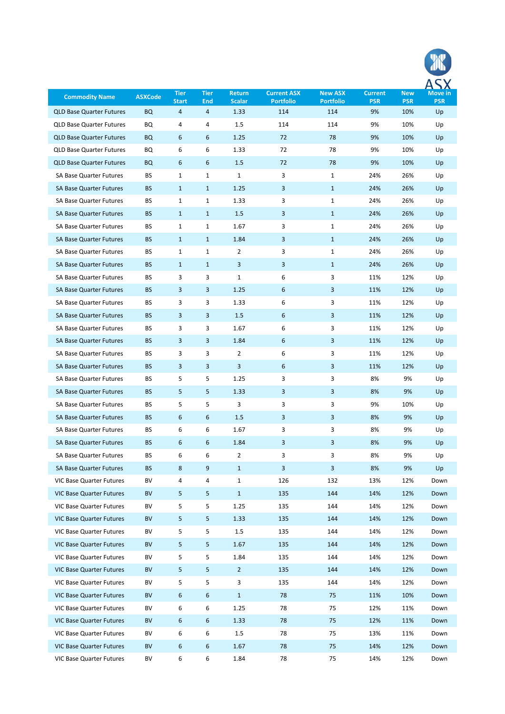| <b>Commodity Name</b>           | <b>ASXCode</b> | <b>Tier</b>       | <b>Tier</b>  | <b>Return</b>         | <b>Current ASX</b>      | <b>New ASX</b>          | <b>Current</b>   | <b>New</b>        | Move in          |
|---------------------------------|----------------|-------------------|--------------|-----------------------|-------------------------|-------------------------|------------------|-------------------|------------------|
| <b>QLD Base Quarter Futures</b> | <b>BQ</b>      | <b>Start</b><br>4 | End<br>4     | <b>Scalar</b><br>1.33 | <b>Portfolio</b><br>114 | <b>Portfolio</b><br>114 | <b>PSR</b><br>9% | <b>PSR</b><br>10% | <b>PSR</b><br>Up |
| <b>QLD Base Quarter Futures</b> | BQ             | 4                 | 4            | 1.5                   | 114                     | 114                     | 9%               | 10%               | Up               |
| <b>QLD Base Quarter Futures</b> | <b>BQ</b>      | 6                 | 6            | 1.25                  | 72                      | 78                      | 9%               | 10%               | Up               |
| <b>QLD Base Quarter Futures</b> | BQ             | 6                 | 6            | 1.33                  | 72                      | 78                      | 9%               | 10%               | Up               |
| <b>QLD Base Quarter Futures</b> | <b>BQ</b>      | 6                 | 6            | 1.5                   | 72                      | 78                      | 9%               | 10%               | Up               |
| <b>SA Base Quarter Futures</b>  | BS             | 1                 | 1            | $\mathbf{1}$          | 3                       | $\mathbf{1}$            | 24%              | 26%               | Up               |
| <b>SA Base Quarter Futures</b>  | <b>BS</b>      | $\mathbf{1}$      | $\mathbf{1}$ | 1.25                  | 3                       | $\mathbf{1}$            | 24%              | 26%               | Up               |
| <b>SA Base Quarter Futures</b>  | BS             | 1                 | 1            | 1.33                  | 3                       | 1                       | 24%              | 26%               | Up               |
| <b>SA Base Quarter Futures</b>  | <b>BS</b>      | $\mathbf{1}$      | $\mathbf{1}$ | 1.5                   | 3                       | $\mathbf{1}$            | 24%              | 26%               | Up               |
| <b>SA Base Quarter Futures</b>  | BS             | $\mathbf{1}$      | $\mathbf{1}$ | 1.67                  | 3                       | $\mathbf{1}$            | 24%              | 26%               | Up               |
| <b>SA Base Quarter Futures</b>  | <b>BS</b>      | $\mathbf{1}$      | $\mathbf{1}$ | 1.84                  | 3                       | $\mathbf{1}$            | 24%              | 26%               | Up               |
| <b>SA Base Quarter Futures</b>  | BS             | 1                 | $\mathbf{1}$ | 2                     | 3                       | 1                       | 24%              | 26%               | Up               |
| <b>SA Base Quarter Futures</b>  | <b>BS</b>      | $\mathbf{1}$      | $\mathbf{1}$ | 3                     | 3                       | $\mathbf{1}$            | 24%              | 26%               | Up               |
| <b>SA Base Quarter Futures</b>  | BS             | 3                 | 3            | $\mathbf{1}$          | 6                       | 3                       | 11%              | 12%               | Up               |
| <b>SA Base Quarter Futures</b>  | <b>BS</b>      | 3                 | 3            | 1.25                  | 6                       | 3                       | 11%              | 12%               | Up               |
| <b>SA Base Quarter Futures</b>  | BS             | 3                 | 3            | 1.33                  | 6                       | 3                       | 11%              | 12%               | Up               |
| <b>SA Base Quarter Futures</b>  | <b>BS</b>      | 3                 | 3            | 1.5                   | 6                       | 3                       | 11%              | 12%               | Up               |
| <b>SA Base Quarter Futures</b>  | BS             | 3                 | 3            | 1.67                  | 6                       | 3                       | 11%              | 12%               | Up               |
| <b>SA Base Quarter Futures</b>  | <b>BS</b>      | 3                 | 3            | 1.84                  | 6                       | 3                       | 11%              | 12%               | Up               |
| <b>SA Base Quarter Futures</b>  | BS             | 3                 | 3            | 2                     | 6                       | 3                       | 11%              | 12%               | Up               |
| <b>SA Base Quarter Futures</b>  | <b>BS</b>      | 3                 | 3            | 3                     | 6                       | 3                       | 11%              | 12%               | Up               |
| <b>SA Base Quarter Futures</b>  | BS             | 5                 | 5            | 1.25                  | 3                       | 3                       | 8%               | 9%                |                  |
| <b>SA Base Quarter Futures</b>  | <b>BS</b>      | 5                 | 5            |                       | 3                       | 3                       | 8%               | 9%                | Up               |
|                                 |                |                   |              | 1.33                  |                         |                         |                  |                   | Up               |
| <b>SA Base Quarter Futures</b>  | BS             | 5                 | 5            | 3                     | 3                       | 3                       | 9%               | 10%               | Up               |
| <b>SA Base Quarter Futures</b>  | <b>BS</b>      | 6                 | 6            | 1.5                   | 3                       | 3                       | 8%               | 9%                | Up               |
| SA Base Quarter Futures         | вs             | 6                 | 6            | 1.67                  | 3                       | 3                       | 8%               | 9%                | Up               |
| <b>SA Base Quarter Futures</b>  | <b>BS</b>      | 6                 | 6            | 1.84                  | 3                       | 3                       | 8%               | 9%                | Up               |
| SA Base Quarter Futures         | BS             | 6                 | 6            | $\overline{2}$        | 3                       | 3                       | 8%               | 9%                | Up               |
| <b>SA Base Quarter Futures</b>  | <b>BS</b>      | 8                 | 9            | $\mathbf{1}$          | 3                       | $\mathbf{3}$            | 8%               | 9%                | Up               |
| VIC Base Quarter Futures        | BV             | 4                 | 4            | $\mathbf{1}$          | 126                     | 132                     | 13%              | 12%               | Down             |
| <b>VIC Base Quarter Futures</b> | BV             | 5                 | 5            | $\mathbf{1}$          | 135                     | 144                     | 14%              | 12%               | Down             |
| VIC Base Quarter Futures        | BV             | 5                 | 5            | 1.25                  | 135                     | 144                     | 14%              | 12%               | Down             |
| <b>VIC Base Quarter Futures</b> | BV             | 5                 | 5            | 1.33                  | 135                     | 144                     | 14%              | 12%               | Down             |
| <b>VIC Base Quarter Futures</b> | BV             | 5                 | 5            | 1.5                   | 135                     | 144                     | 14%              | 12%               | Down             |
| <b>VIC Base Quarter Futures</b> | BV             | 5                 | 5            | 1.67                  | 135                     | 144                     | 14%              | 12%               | Down             |
| VIC Base Quarter Futures        | BV             | 5                 | 5            | 1.84                  | 135                     | 144                     | 14%              | 12%               | Down             |
| <b>VIC Base Quarter Futures</b> | BV             | 5                 | 5            | $\overline{2}$        | 135                     | 144                     | 14%              | 12%               | Down             |
| VIC Base Quarter Futures        | BV             | 5                 | 5            | 3                     | 135                     | 144                     | 14%              | 12%               | Down             |
| <b>VIC Base Quarter Futures</b> | BV             | 6                 | 6            | $\mathbf{1}$          | 78                      | 75                      | 11%              | 10%               | Down             |
| VIC Base Quarter Futures        | BV             | 6                 | 6            | 1.25                  | 78                      | 75                      | 12%              | 11%               | Down             |
| <b>VIC Base Quarter Futures</b> | BV             | 6                 | 6            | 1.33                  | 78                      | 75                      | 12%              | 11%               | Down             |
| VIC Base Quarter Futures        | BV             | 6                 | 6            | 1.5                   | 78                      | 75                      | 13%              | 11%               | Down             |
| <b>VIC Base Quarter Futures</b> | BV             | 6                 | 6            | 1.67                  | 78                      | 75                      | 14%              | 12%               | Down             |
| VIC Base Quarter Futures        | BV             | 6                 | 6            | 1.84                  | 78                      | 75                      | 14%              | 12%               | Down             |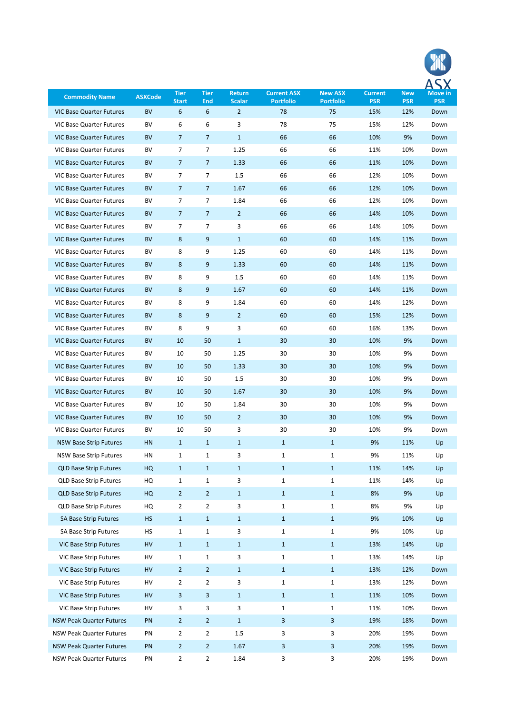| <b>Commodity Name</b>                            | <b>ASXCode</b> | <b>Tier</b>         | <b>Tier</b>         | <b>Return</b>                   | <b>Current ASX</b>           | <b>New ASX</b>               | <b>Current</b>    | <b>New</b>        | <b>Move in</b>     |
|--------------------------------------------------|----------------|---------------------|---------------------|---------------------------------|------------------------------|------------------------------|-------------------|-------------------|--------------------|
| <b>VIC Base Quarter Futures</b>                  | <b>BV</b>      | <b>Start</b><br>6   | <b>End</b><br>6     | <b>Scalar</b><br>$\overline{2}$ | <b>Portfolio</b><br>78       | <b>Portfolio</b><br>75       | <b>PSR</b><br>15% | <b>PSR</b><br>12% | <b>PSR</b><br>Down |
| <b>VIC Base Quarter Futures</b>                  | BV             | 6                   | 6                   | 3                               | 78                           | 75                           | 15%               | 12%               | Down               |
| <b>VIC Base Quarter Futures</b>                  | BV             | $\overline{7}$      | $\overline{7}$      | $\mathbf{1}$                    | 66                           | 66                           | 10%               | 9%                | Down               |
| <b>VIC Base Quarter Futures</b>                  | BV             | 7                   | 7                   | 1.25                            | 66                           | 66                           | 11%               | 10%               | Down               |
| <b>VIC Base Quarter Futures</b>                  | BV             | $\overline{7}$      | $\overline{7}$      | 1.33                            | 66                           | 66                           | 11%               | 10%               | Down               |
| <b>VIC Base Quarter Futures</b>                  | BV             | 7                   | 7                   | 1.5                             | 66                           | 66                           | 12%               | 10%               | Down               |
| <b>VIC Base Quarter Futures</b>                  | BV             | $\overline{7}$      | 7                   | 1.67                            | 66                           | 66                           | 12%               | 10%               | Down               |
| <b>VIC Base Quarter Futures</b>                  | BV             | 7                   | 7                   | 1.84                            | 66                           | 66                           | 12%               | 10%               | Down               |
| <b>VIC Base Quarter Futures</b>                  | BV             | $\overline{7}$      | $\overline{7}$      | $\overline{2}$                  | 66                           | 66                           | 14%               | 10%               | Down               |
| <b>VIC Base Quarter Futures</b>                  | BV             | 7                   | 7                   | 3                               | 66                           | 66                           | 14%               | 10%               | Down               |
| <b>VIC Base Quarter Futures</b>                  | <b>BV</b>      | 8                   | 9                   | $\mathbf{1}$                    | 60                           | 60                           | 14%               | 11%               | Down               |
| <b>VIC Base Quarter Futures</b>                  | BV             | 8                   | 9                   | 1.25                            | 60                           | 60                           | 14%               | 11%               | Down               |
| <b>VIC Base Quarter Futures</b>                  | <b>BV</b>      | 8                   | 9                   | 1.33                            | 60                           | 60                           | 14%               | 11%               | Down               |
| <b>VIC Base Quarter Futures</b>                  | BV             | 8                   | 9                   | 1.5                             | 60                           | 60                           | 14%               | 11%               | Down               |
| <b>VIC Base Quarter Futures</b>                  | <b>BV</b>      | 8                   | 9                   | 1.67                            | 60                           | 60                           | 14%               | 11%               | Down               |
| <b>VIC Base Quarter Futures</b>                  | BV             | 8                   | 9                   | 1.84                            | 60                           | 60                           | 14%               | 12%               | Down               |
| <b>VIC Base Quarter Futures</b>                  | <b>BV</b>      | 8                   | 9                   | $\overline{2}$                  | 60                           | 60                           | 15%               | 12%               | Down               |
| <b>VIC Base Quarter Futures</b>                  | BV             | 8                   | 9                   | 3                               | 60                           | 60                           | 16%               | 13%               | Down               |
| <b>VIC Base Quarter Futures</b>                  | <b>BV</b>      | 10                  | 50                  | $\mathbf{1}$                    | 30                           | 30                           | 10%               | 9%                | Down               |
| <b>VIC Base Quarter Futures</b>                  | BV             | 10                  | 50                  | 1.25                            | 30                           | 30                           | 10%               | 9%                | Down               |
| <b>VIC Base Quarter Futures</b>                  | BV             | 10                  | 50                  | 1.33                            | 30                           | 30                           | 10%               | 9%                | Down               |
| <b>VIC Base Quarter Futures</b>                  | BV             | 10                  | 50                  | 1.5                             | 30                           | 30                           | 10%               | 9%                | Down               |
| <b>VIC Base Quarter Futures</b>                  | BV             | 10                  | 50                  | 1.67                            | 30                           | 30                           | 10%               | 9%                | Down               |
| <b>VIC Base Quarter Futures</b>                  | BV             | 10                  | 50                  | 1.84                            | 30                           | 30                           | 10%               | 9%                | Down               |
| <b>VIC Base Quarter Futures</b>                  | BV             | 10                  | 50                  | $\overline{2}$                  | 30                           | 30                           | 10%               | 9%                | Down               |
| VIC Base Quarter Futures                         | BV             | 10                  | 50                  | 3                               | 30                           | 30                           | 10%               | 9%                | Down               |
| <b>NSW Base Strip Futures</b>                    | HN             | $\mathbf{1}$        | $\mathbf{1}$        | $\mathbf{1}$                    | $\mathbf{1}$                 | $\mathbf{1}$                 | 9%                | 11%               | Up                 |
| <b>NSW Base Strip Futures</b>                    | HN             | $\mathbf{1}$        | $\mathbf 1$         | 3                               | $\mathbf{1}$                 | $\mathbf{1}$                 | 9%                | 11%               | Up                 |
| <b>QLD Base Strip Futures</b>                    | HQ             | $\mathbf{1}$        | $\mathbf{1}$        | $\mathbf{1}$                    | $\mathbf{1}$                 | $\mathbf{1}$                 | 11%               | 14%               | Up                 |
| <b>QLD Base Strip Futures</b>                    | HQ             | $\mathbf{1}$        | $\mathbf{1}$        | 3                               | $\mathbf{1}$                 | $\mathbf{1}$                 | 11%               | 14%               | Up                 |
| <b>QLD Base Strip Futures</b>                    | HQ             | $\overline{2}$      | $\overline{2}$      | $\mathbf{1}$                    | $\mathbf{1}$                 | $\mathbf{1}$                 | 8%                | 9%                | Up                 |
| <b>QLD Base Strip Futures</b>                    | HQ             | $\overline{2}$      | $\overline{2}$      | 3                               | $\mathbf{1}$                 | $\mathbf{1}$                 | 8%                | 9%                | Up                 |
| SA Base Strip Futures                            | <b>HS</b>      | $\mathbf{1}$        | $\mathbf{1}$        | $\mathbf{1}$                    | $\mathbf{1}$                 | $\mathbf{1}$                 | 9%                | 10%               | Up                 |
| SA Base Strip Futures                            | HS             | $\mathbf{1}$        | $\mathbf{1}$        | 3                               | $\mathbf{1}$                 | $\mathbf{1}$                 | 9%                | 10%               | Up                 |
| <b>VIC Base Strip Futures</b>                    | HV             | $\mathbf{1}$        | $\mathbf{1}$        | $\mathbf{1}$                    | $\mathbf{1}$                 | $\mathbf{1}$                 | 13%               | 14%               | Up                 |
| VIC Base Strip Futures                           | HV             | $\mathbf{1}$        | $\mathbf 1$         | 3                               | $\mathbf{1}$                 | $\mathbf{1}$                 | 13%               | 14%               | Up                 |
| VIC Base Strip Futures                           | HV             | $\overline{2}$      | $\overline{2}$      | $\mathbf{1}$                    | $\mathbf{1}$                 | $\mathbf{1}$                 | 13%               | 12%               | Down               |
| VIC Base Strip Futures<br>VIC Base Strip Futures | HV<br>HV       | $\overline{2}$<br>3 | $\overline{2}$<br>3 | 3<br>$\mathbf{1}$               | $\mathbf{1}$<br>$\mathbf{1}$ | $\mathbf{1}$                 | 13%<br>11%        | 12%<br>10%        | Down<br>Down       |
| VIC Base Strip Futures                           | HV             | 3                   | 3                   | 3                               | $\mathbf{1}$                 | $\mathbf{1}$<br>$\mathbf{1}$ | 11%               | 10%               | Down               |
| <b>NSW Peak Quarter Futures</b>                  | PN             | $\overline{2}$      | $\overline{2}$      | $\mathbf{1}$                    | 3                            | 3                            | 19%               | 18%               | Down               |
| <b>NSW Peak Quarter Futures</b>                  | PN             | $\overline{2}$      | $\overline{2}$      | 1.5                             | 3                            | 3                            | 20%               | 19%               | Down               |
| <b>NSW Peak Quarter Futures</b>                  | PN             | $\overline{2}$      | $\overline{2}$      | 1.67                            | 3                            | 3                            | 20%               | 19%               | Down               |
| NSW Peak Quarter Futures                         | PN             | $\overline{2}$      | $\overline{2}$      | 1.84                            | 3                            | 3                            | 20%               | 19%               | Down               |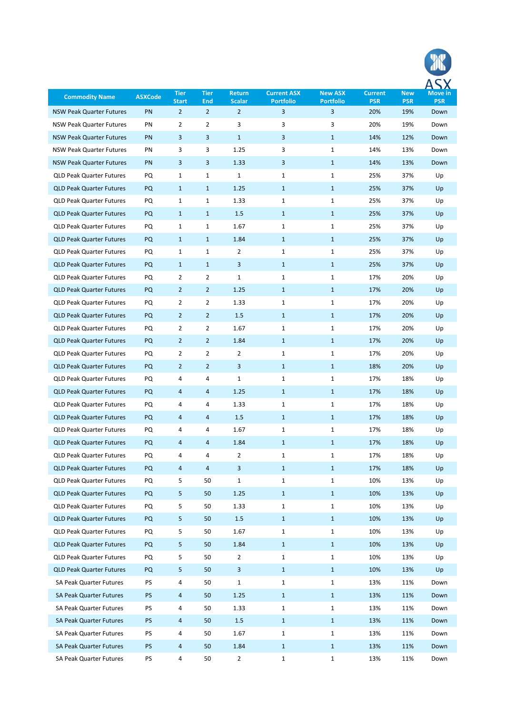| <b>Commodity Name</b>           | <b>ASXCode</b> | <b>Tier</b><br><b>Start</b> | <b>Tier</b><br><b>End</b> | <b>Return</b><br><b>Scalar</b> | <b>Current ASX</b><br><b>Portfolio</b> | <b>New ASX</b><br><b>Portfolio</b> | <b>Current</b><br><b>PSR</b> | <b>New</b><br><b>PSR</b> | Move in<br><b>PSR</b> |
|---------------------------------|----------------|-----------------------------|---------------------------|--------------------------------|----------------------------------------|------------------------------------|------------------------------|--------------------------|-----------------------|
| <b>NSW Peak Quarter Futures</b> | PN             | $\overline{2}$              | $\overline{2}$            | $\overline{2}$                 | 3                                      | 3                                  | 20%                          | 19%                      | Down                  |
| <b>NSW Peak Quarter Futures</b> | PN             | $\overline{2}$              | 2                         | 3                              | 3                                      | 3                                  | 20%                          | 19%                      | Down                  |
| <b>NSW Peak Quarter Futures</b> | PN             | 3                           | 3                         | $\mathbf{1}$                   | 3                                      | $\mathbf{1}$                       | 14%                          | 12%                      | Down                  |
| <b>NSW Peak Quarter Futures</b> | PN             | 3                           | 3                         | 1.25                           | 3                                      | 1                                  | 14%                          | 13%                      | Down                  |
| <b>NSW Peak Quarter Futures</b> | PN             | 3                           | 3                         | 1.33                           | 3                                      | $\mathbf{1}$                       | 14%                          | 13%                      | Down                  |
| <b>QLD Peak Quarter Futures</b> | PQ             | $\mathbf{1}$                | $\mathbf{1}$              | $\mathbf{1}$                   | $\mathbf{1}$                           | 1                                  | 25%                          | 37%                      | Up                    |
| <b>QLD Peak Quarter Futures</b> | <b>PQ</b>      | $\mathbf{1}$                | $\mathbf{1}$              | 1.25                           | $\mathbf{1}$                           | $\mathbf{1}$                       | 25%                          | 37%                      | Up                    |
| <b>QLD Peak Quarter Futures</b> | PQ             | $\mathbf{1}$                | 1                         | 1.33                           | 1                                      | 1                                  | 25%                          | 37%                      | Up                    |
| <b>QLD Peak Quarter Futures</b> | <b>PQ</b>      | $\mathbf{1}$                | $\mathbf{1}$              | 1.5                            | $\mathbf{1}$                           | $\mathbf{1}$                       | 25%                          | 37%                      | Up                    |
| <b>QLD Peak Quarter Futures</b> | PQ             | 1                           | $\mathbf{1}$              | 1.67                           | 1                                      | 1                                  | 25%                          | 37%                      | Up                    |
| <b>QLD Peak Quarter Futures</b> | <b>PQ</b>      | $\mathbf{1}$                | $\mathbf{1}$              | 1.84                           | $\mathbf{1}$                           | $\mathbf{1}$                       | 25%                          | 37%                      | Up                    |
| <b>QLD Peak Quarter Futures</b> | PQ             | 1                           | $\mathbf{1}$              | 2                              | 1                                      | 1                                  | 25%                          | 37%                      | Up                    |
| <b>QLD Peak Quarter Futures</b> | <b>PQ</b>      | $\mathbf{1}$                | $\mathbf{1}$              | 3                              | $\mathbf{1}$                           | $\mathbf{1}$                       | 25%                          | 37%                      | Up                    |
| <b>QLD Peak Quarter Futures</b> | PQ             | $\overline{2}$              | $\overline{2}$            | $\mathbf{1}$                   | 1                                      | 1                                  | 17%                          | 20%                      | Up                    |
| <b>QLD Peak Quarter Futures</b> | <b>PQ</b>      | $\overline{2}$              | $\overline{2}$            | 1.25                           | $\mathbf{1}$                           | $\mathbf{1}$                       | 17%                          | 20%                      | Up                    |
| <b>QLD Peak Quarter Futures</b> | PQ             | $\overline{2}$              | $\overline{2}$            | 1.33                           | 1                                      | 1                                  | 17%                          | 20%                      | Up                    |
| <b>QLD Peak Quarter Futures</b> | <b>PQ</b>      | $\overline{2}$              | $\overline{2}$            | 1.5                            | $\mathbf{1}$                           | $\mathbf{1}$                       | 17%                          | 20%                      | Up                    |
| <b>QLD Peak Quarter Futures</b> | PQ             | $\overline{2}$              | $\overline{2}$            | 1.67                           | 1                                      | 1                                  | 17%                          | 20%                      | Up                    |
| <b>QLD Peak Quarter Futures</b> | <b>PQ</b>      | $\overline{2}$              | $\overline{2}$            | 1.84                           | $\mathbf{1}$                           | $\mathbf{1}$                       | 17%                          | 20%                      | Up                    |
| <b>QLD Peak Quarter Futures</b> | PQ             | $\overline{2}$              | $\overline{2}$            | $\overline{2}$                 | 1                                      | 1                                  | 17%                          | 20%                      | Up                    |
| <b>QLD Peak Quarter Futures</b> | <b>PQ</b>      | $\overline{2}$              | $\overline{2}$            | 3                              | $\mathbf{1}$                           | $\mathbf{1}$                       | 18%                          | 20%                      | Up                    |
| <b>QLD Peak Quarter Futures</b> | PQ             | 4                           | 4                         | $\mathbf{1}$                   | 1                                      | 1                                  | 17%                          | 18%                      | Up                    |
| <b>QLD Peak Quarter Futures</b> | <b>PQ</b>      | 4                           | 4                         | 1.25                           | $\mathbf{1}$                           | $\mathbf{1}$                       | 17%                          | 18%                      | Up                    |
| <b>QLD Peak Quarter Futures</b> | PQ             | 4                           | 4                         | 1.33                           | 1                                      | 1                                  | 17%                          | 18%                      | Up                    |
| <b>QLD Peak Quarter Futures</b> | PQ             | 4                           | 4                         | 1.5                            | $\mathbf{1}$                           | $\mathbf{1}$                       | 17%                          | 18%                      | Up                    |
| <b>QLD Peak Quarter Futures</b> | $\mathsf{PQ}$  | 4                           | 4                         | 1.67                           | ı                                      | 1                                  | 17%                          | 18%                      | Up                    |
| <b>QLD Peak Quarter Futures</b> | PQ             | 4                           | 4                         | 1.84                           | $\mathbf{1}$                           | $\mathbf{1}$                       | 17%                          | 18%                      | Up                    |
| <b>QLD Peak Quarter Futures</b> | PQ             | 4                           | 4                         | $\overline{2}$                 | $\mathbf{1}$                           | 1                                  | 17%                          | 18%                      | Up                    |
| <b>QLD Peak Quarter Futures</b> | PQ             | 4                           | 4                         | 3                              | $\mathbf{1}$                           | $\mathbf{1}$                       | 17%                          | 18%                      | Up                    |
| <b>QLD Peak Quarter Futures</b> | PQ             | 5                           | 50                        | $\mathbf{1}$                   | 1                                      | 1                                  | 10%                          | 13%                      | Up                    |
| <b>QLD Peak Quarter Futures</b> | PQ             | 5                           | 50                        | 1.25                           | $\mathbf{1}$                           | $\mathbf{1}$                       | 10%                          | 13%                      | Up                    |
| <b>QLD Peak Quarter Futures</b> | PQ             | 5                           | 50                        | 1.33                           | $\mathbf{1}$                           | 1                                  | 10%                          | 13%                      | Up                    |
| <b>QLD Peak Quarter Futures</b> | PQ             | 5                           | 50                        | $1.5\,$                        | $\mathbf{1}$                           | $\mathbf{1}$                       | 10%                          | 13%                      | Up                    |
| <b>QLD Peak Quarter Futures</b> | PQ             | 5                           | 50                        | 1.67                           | 1                                      | 1                                  | 10%                          | 13%                      | Up                    |
| <b>QLD Peak Quarter Futures</b> | PQ             | 5                           | 50                        | 1.84                           | $\mathbf{1}$                           | $\mathbf{1}$                       | 10%                          | 13%                      | Up                    |
| <b>QLD Peak Quarter Futures</b> | PQ             | 5                           | 50                        | $\overline{2}$                 | 1                                      | 1                                  | 10%                          | 13%                      | Up                    |
| <b>QLD Peak Quarter Futures</b> | PQ             | 5                           | 50                        | 3                              | $\mathbf{1}$                           | $\mathbf{1}$                       | 10%                          | 13%                      | Up                    |
| SA Peak Quarter Futures         | PS             | 4                           | 50                        | $\mathbf{1}$                   | 1                                      | 1                                  | 13%                          | 11%                      | Down                  |
| <b>SA Peak Quarter Futures</b>  | PS             | 4                           | 50                        | 1.25                           | $\mathbf{1}$                           | $\mathbf{1}$                       | 13%                          | 11%                      | Down                  |
| SA Peak Quarter Futures         | PS             | 4                           | 50                        | 1.33                           | 1                                      | 1                                  | 13%                          | 11%                      | Down                  |
| <b>SA Peak Quarter Futures</b>  | PS             | 4                           | 50                        | $1.5\,$                        | $\mathbf{1}$                           | $\mathbf{1}$                       | 13%                          | 11%                      | Down                  |
| SA Peak Quarter Futures         | PS             | 4                           | 50                        | 1.67                           | 1                                      | 1                                  | 13%                          | 11%                      | Down                  |
| <b>SA Peak Quarter Futures</b>  | PS             | 4                           | 50                        | 1.84                           | $\mathbf{1}$                           | $\mathbf{1}$                       | 13%                          | 11%                      | Down                  |
| SA Peak Quarter Futures         | PS             | 4                           | 50                        | $\overline{2}$                 | $\mathbf{1}$                           | $\mathbf{1}$                       | 13%                          | 11%                      | Down                  |